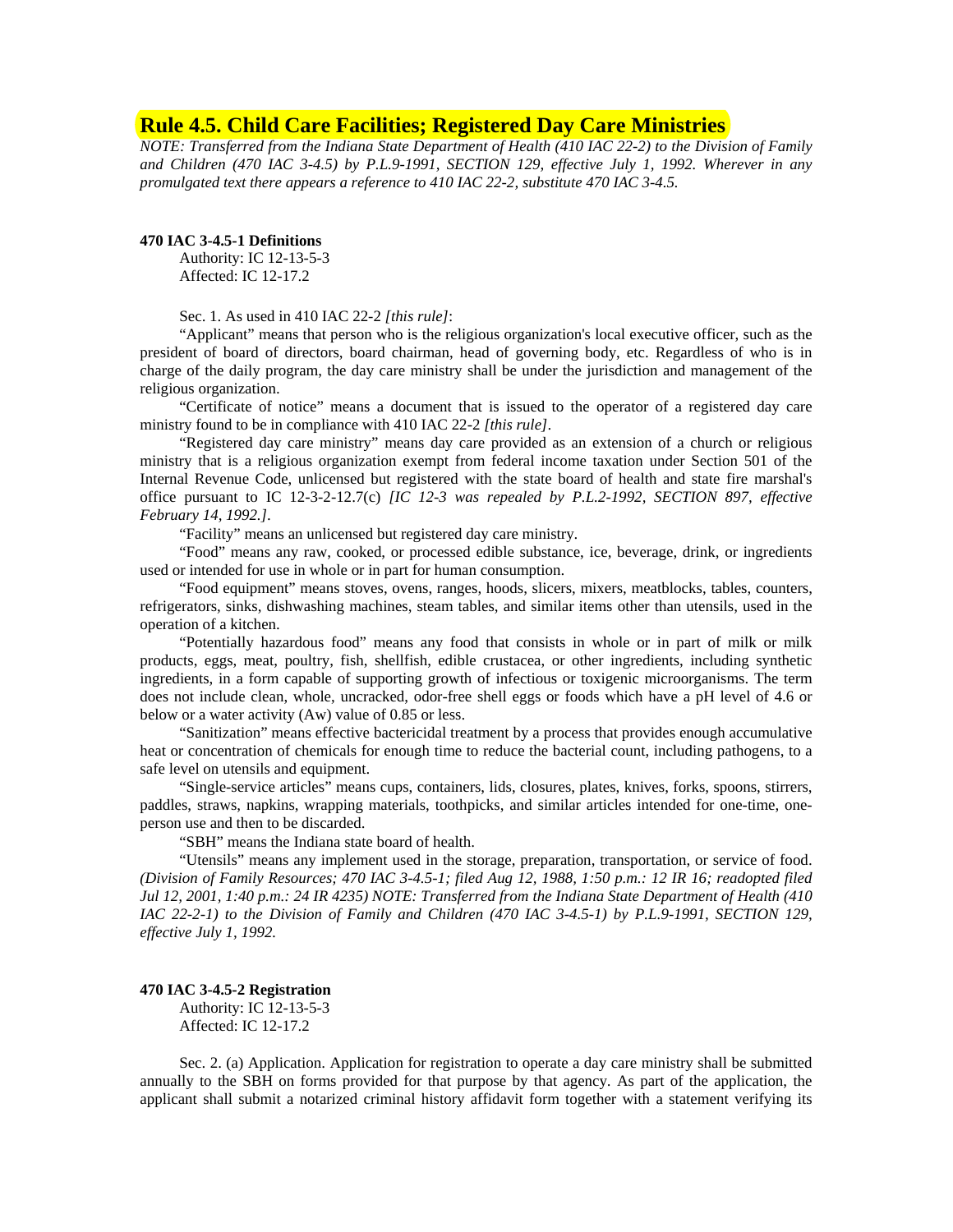# **Rule 4.5. Child Care Facilities; Registered Day Care Ministries**

*NOTE: Transferred from the Indiana State Department of Health (410 IAC 22-2) to the Division of Family and Children (470 IAC 3-4.5) by P.L.9-1991, SECTION 129, effective July 1, 1992. Wherever in any promulgated text there appears a reference to 410 IAC 22-2, substitute 470 IAC 3-4.5.* 

## **470 IAC 3-4.5-1 Definitions**

Authority: IC 12-13-5-3 Affected: IC 12-17.2

Sec. 1. As used in 410 IAC 22-2 *[this rule]*:

"Applicant" means that person who is the religious organization's local executive officer, such as the president of board of directors, board chairman, head of governing body, etc. Regardless of who is in charge of the daily program, the day care ministry shall be under the jurisdiction and management of the religious organization.

"Certificate of notice" means a document that is issued to the operator of a registered day care ministry found to be in compliance with 410 IAC 22-2 *[this rule]*.

"Registered day care ministry" means day care provided as an extension of a church or religious ministry that is a religious organization exempt from federal income taxation under Section 501 of the Internal Revenue Code, unlicensed but registered with the state board of health and state fire marshal's office pursuant to IC 12-3-2-12.7(c) *[IC 12-3 was repealed by P.L.2-1992, SECTION 897, effective February 14, 1992.]*.

"Facility" means an unlicensed but registered day care ministry.

"Food" means any raw, cooked, or processed edible substance, ice, beverage, drink, or ingredients used or intended for use in whole or in part for human consumption.

"Food equipment" means stoves, ovens, ranges, hoods, slicers, mixers, meatblocks, tables, counters, refrigerators, sinks, dishwashing machines, steam tables, and similar items other than utensils, used in the operation of a kitchen.

"Potentially hazardous food" means any food that consists in whole or in part of milk or milk products, eggs, meat, poultry, fish, shellfish, edible crustacea, or other ingredients, including synthetic ingredients, in a form capable of supporting growth of infectious or toxigenic microorganisms. The term does not include clean, whole, uncracked, odor-free shell eggs or foods which have a pH level of 4.6 or below or a water activity (Aw) value of 0.85 or less.

"Sanitization" means effective bactericidal treatment by a process that provides enough accumulative heat or concentration of chemicals for enough time to reduce the bacterial count, including pathogens, to a safe level on utensils and equipment.

"Single-service articles" means cups, containers, lids, closures, plates, knives, forks, spoons, stirrers, paddles, straws, napkins, wrapping materials, toothpicks, and similar articles intended for one-time, oneperson use and then to be discarded.

"SBH" means the Indiana state board of health.

"Utensils" means any implement used in the storage, preparation, transportation, or service of food. *(Division of Family Resources; 470 IAC 3-4.5-1; filed Aug 12, 1988, 1:50 p.m.: 12 IR 16; readopted filed Jul 12, 2001, 1:40 p.m.: 24 IR 4235) NOTE: Transferred from the Indiana State Department of Health (410 IAC 22-2-1) to the Division of Family and Children (470 IAC 3-4.5-1) by P.L.9-1991, SECTION 129, effective July 1, 1992.* 

#### **470 IAC 3-4.5-2 Registration**

Authority: IC 12-13-5-3 Affected: IC 12-17.2

Sec. 2. (a) Application. Application for registration to operate a day care ministry shall be submitted annually to the SBH on forms provided for that purpose by that agency. As part of the application, the applicant shall submit a notarized criminal history affidavit form together with a statement verifying its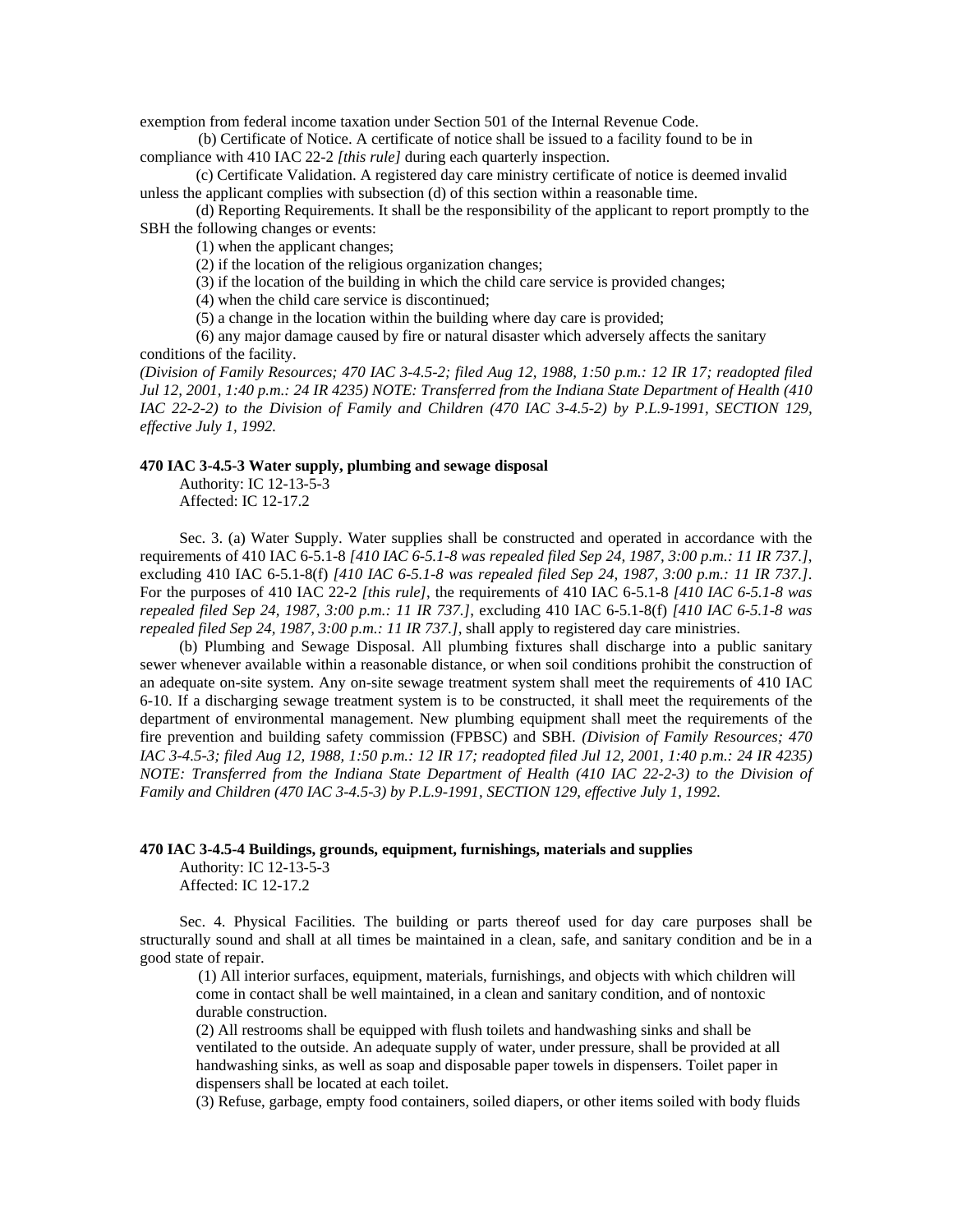exemption from federal income taxation under Section 501 of the Internal Revenue Code.

 (b) Certificate of Notice. A certificate of notice shall be issued to a facility found to be in compliance with 410 IAC 22-2 *[this rule]* during each quarterly inspection.

(c) Certificate Validation. A registered day care ministry certificate of notice is deemed invalid unless the applicant complies with subsection (d) of this section within a reasonable time.

(d) Reporting Requirements. It shall be the responsibility of the applicant to report promptly to the SBH the following changes or events:

(1) when the applicant changes;

(2) if the location of the religious organization changes;

(3) if the location of the building in which the child care service is provided changes;

(4) when the child care service is discontinued;

(5) a change in the location within the building where day care is provided;

(6) any major damage caused by fire or natural disaster which adversely affects the sanitary conditions of the facility.

*(Division of Family Resources; 470 IAC 3-4.5-2; filed Aug 12, 1988, 1:50 p.m.: 12 IR 17; readopted filed Jul 12, 2001, 1:40 p.m.: 24 IR 4235) NOTE: Transferred from the Indiana State Department of Health (410 IAC 22-2-2) to the Division of Family and Children (470 IAC 3-4.5-2) by P.L.9-1991, SECTION 129, effective July 1, 1992.* 

## **470 IAC 3-4.5-3 Water supply, plumbing and sewage disposal**

Authority: IC 12-13-5-3 Affected: IC 12-17.2

Sec. 3. (a) Water Supply. Water supplies shall be constructed and operated in accordance with the requirements of 410 IAC 6-5.1-8 *[410 IAC 6-5.1-8 was repealed filed Sep 24, 1987, 3:00 p.m.: 11 IR 737.]*, excluding 410 IAC 6-5.1-8(f) *[410 IAC 6-5.1-8 was repealed filed Sep 24, 1987, 3:00 p.m.: 11 IR 737.]*. For the purposes of 410 IAC 22-2 *[this rule]*, the requirements of 410 IAC 6-5.1-8 *[410 IAC 6-5.1-8 was repealed filed Sep 24, 1987, 3:00 p.m.: 11 IR 737.]*, excluding 410 IAC 6-5.1-8(f) *[410 IAC 6-5.1-8 was repealed filed Sep 24, 1987, 3:00 p.m.: 11 IR 737.]*, shall apply to registered day care ministries.

(b) Plumbing and Sewage Disposal. All plumbing fixtures shall discharge into a public sanitary sewer whenever available within a reasonable distance, or when soil conditions prohibit the construction of an adequate on-site system. Any on-site sewage treatment system shall meet the requirements of 410 IAC 6-10. If a discharging sewage treatment system is to be constructed, it shall meet the requirements of the department of environmental management. New plumbing equipment shall meet the requirements of the fire prevention and building safety commission (FPBSC) and SBH. *(Division of Family Resources; 470 IAC 3-4.5-3; filed Aug 12, 1988, 1:50 p.m.: 12 IR 17; readopted filed Jul 12, 2001, 1:40 p.m.: 24 IR 4235) NOTE: Transferred from the Indiana State Department of Health (410 IAC 22-2-3) to the Division of Family and Children (470 IAC 3-4.5-3) by P.L.9-1991, SECTION 129, effective July 1, 1992.* 

#### **470 IAC 3-4.5-4 Buildings, grounds, equipment, furnishings, materials and supplies**

Authority: IC 12-13-5-3 Affected: IC 12-17.2

Sec. 4. Physical Facilities. The building or parts thereof used for day care purposes shall be structurally sound and shall at all times be maintained in a clean, safe, and sanitary condition and be in a good state of repair.

 (1) All interior surfaces, equipment, materials, furnishings, and objects with which children will come in contact shall be well maintained, in a clean and sanitary condition, and of nontoxic durable construction.

(2) All restrooms shall be equipped with flush toilets and handwashing sinks and shall be ventilated to the outside. An adequate supply of water, under pressure, shall be provided at all handwashing sinks, as well as soap and disposable paper towels in dispensers. Toilet paper in dispensers shall be located at each toilet.

(3) Refuse, garbage, empty food containers, soiled diapers, or other items soiled with body fluids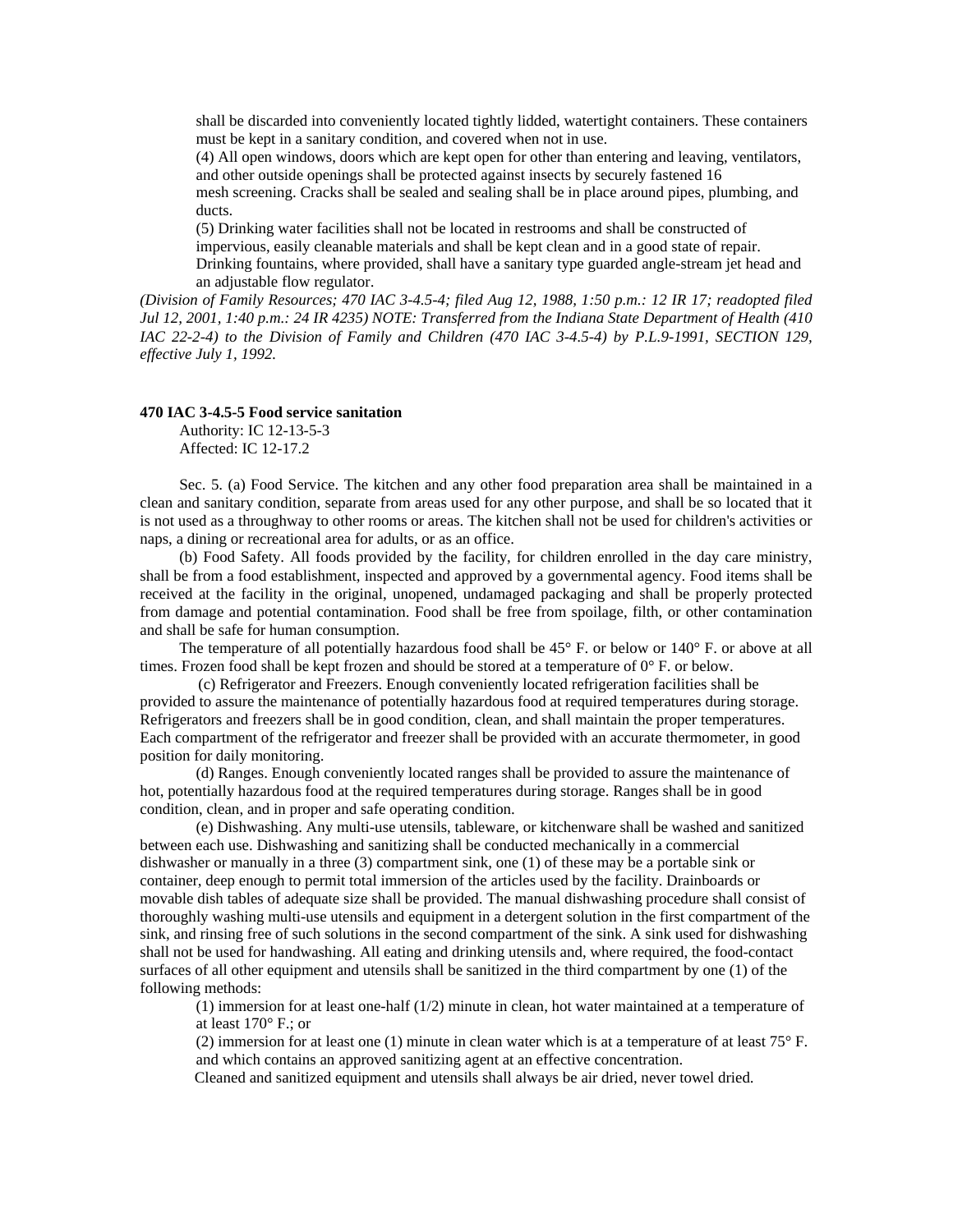shall be discarded into conveniently located tightly lidded, watertight containers. These containers must be kept in a sanitary condition, and covered when not in use.

(4) All open windows, doors which are kept open for other than entering and leaving, ventilators, and other outside openings shall be protected against insects by securely fastened 16

 mesh screening. Cracks shall be sealed and sealing shall be in place around pipes, plumbing, and ducts.

(5) Drinking water facilities shall not be located in restrooms and shall be constructed of

impervious, easily cleanable materials and shall be kept clean and in a good state of repair. Drinking fountains, where provided, shall have a sanitary type guarded angle-stream jet head and

an adjustable flow regulator.

*(Division of Family Resources; 470 IAC 3-4.5-4; filed Aug 12, 1988, 1:50 p.m.: 12 IR 17; readopted filed Jul 12, 2001, 1:40 p.m.: 24 IR 4235) NOTE: Transferred from the Indiana State Department of Health (410 IAC 22-2-4) to the Division of Family and Children (470 IAC 3-4.5-4) by P.L.9-1991, SECTION 129, effective July 1, 1992.* 

## **470 IAC 3-4.5-5 Food service sanitation**

Authority: IC 12-13-5-3 Affected: IC 12-17.2

Sec. 5. (a) Food Service. The kitchen and any other food preparation area shall be maintained in a clean and sanitary condition, separate from areas used for any other purpose, and shall be so located that it is not used as a throughway to other rooms or areas. The kitchen shall not be used for children's activities or naps, a dining or recreational area for adults, or as an office.

(b) Food Safety. All foods provided by the facility, for children enrolled in the day care ministry, shall be from a food establishment, inspected and approved by a governmental agency. Food items shall be received at the facility in the original, unopened, undamaged packaging and shall be properly protected from damage and potential contamination. Food shall be free from spoilage, filth, or other contamination and shall be safe for human consumption.

The temperature of all potentially hazardous food shall be  $45^{\circ}$  F. or below or  $140^{\circ}$  F. or above at all times. Frozen food shall be kept frozen and should be stored at a temperature of  $0^\circ$  F. or below.

 (c) Refrigerator and Freezers. Enough conveniently located refrigeration facilities shall be provided to assure the maintenance of potentially hazardous food at required temperatures during storage. Refrigerators and freezers shall be in good condition, clean, and shall maintain the proper temperatures. Each compartment of the refrigerator and freezer shall be provided with an accurate thermometer, in good position for daily monitoring.

(d) Ranges. Enough conveniently located ranges shall be provided to assure the maintenance of hot, potentially hazardous food at the required temperatures during storage. Ranges shall be in good condition, clean, and in proper and safe operating condition.

(e) Dishwashing. Any multi-use utensils, tableware, or kitchenware shall be washed and sanitized between each use. Dishwashing and sanitizing shall be conducted mechanically in a commercial dishwasher or manually in a three (3) compartment sink, one (1) of these may be a portable sink or container, deep enough to permit total immersion of the articles used by the facility. Drainboards or movable dish tables of adequate size shall be provided. The manual dishwashing procedure shall consist of thoroughly washing multi-use utensils and equipment in a detergent solution in the first compartment of the sink, and rinsing free of such solutions in the second compartment of the sink. A sink used for dishwashing shall not be used for handwashing. All eating and drinking utensils and, where required, the food-contact surfaces of all other equipment and utensils shall be sanitized in the third compartment by one (1) of the following methods:

(1) immersion for at least one-half (1/2) minute in clean, hot water maintained at a temperature of at least 170° F.; or

(2) immersion for at least one (1) minute in clean water which is at a temperature of at least 75° F. and which contains an approved sanitizing agent at an effective concentration.

Cleaned and sanitized equipment and utensils shall always be air dried, never towel dried.